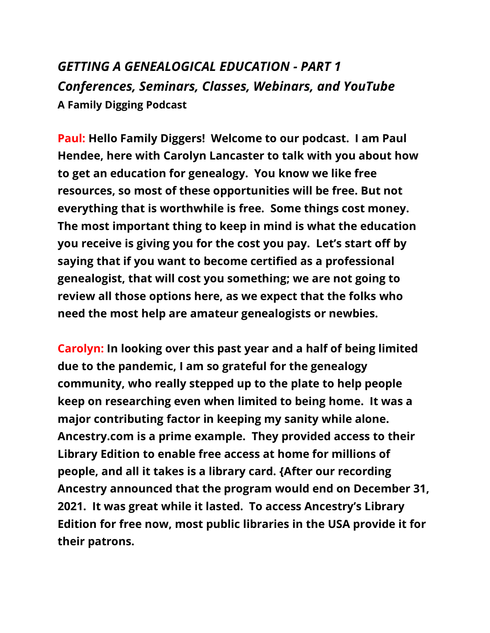## *GETTING A GENEALOGICAL EDUCATION - PART 1 Conferences, Seminars, Classes, Webinars, and YouTube* **A Family Digging Podcast**

**Paul: Hello Family Diggers! Welcome to our podcast. I am Paul Hendee, here with Carolyn Lancaster to talk with you about how to get an education for genealogy. You know we like free resources, so most of these opportunities will be free. But not everything that is worthwhile is free. Some things cost money. The most important thing to keep in mind is what the education you receive is giving you for the cost you pay. Let's start off by saying that if you want to become certified as a professional genealogist, that will cost you something; we are not going to review all those options here, as we expect that the folks who need the most help are amateur genealogists or newbies.** 

**Carolyn: In looking over this past year and a half of being limited due to the pandemic, I am so grateful for the genealogy community, who really stepped up to the plate to help people keep on researching even when limited to being home. It was a major contributing factor in keeping my sanity while alone. Ancestry.com is a prime example. They provided access to their Library Edition to enable free access at home for millions of people, and all it takes is a library card. {After our recording Ancestry announced that the program would end on December 31, 2021. It was great while it lasted. To access Ancestry's Library Edition for free now, most public libraries in the USA provide it for their patrons.**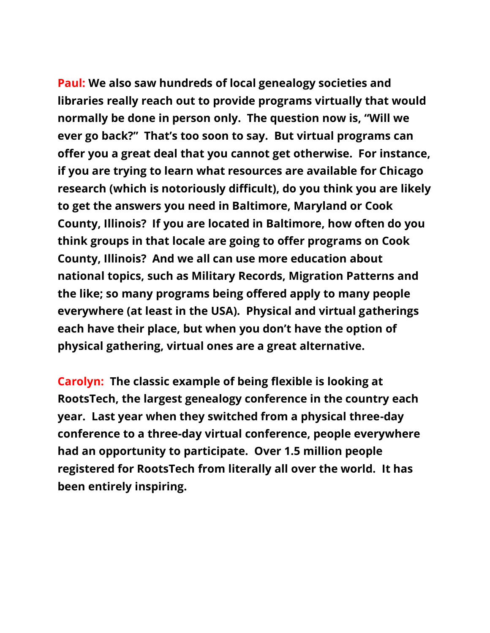**Paul: We also saw hundreds of local genealogy societies and libraries really reach out to provide programs virtually that would normally be done in person only. The question now is, "Will we ever go back?" That's too soon to say. But virtual programs can offer you a great deal that you cannot get otherwise. For instance, if you are trying to learn what resources are available for Chicago research (which is notoriously difficult), do you think you are likely to get the answers you need in Baltimore, Maryland or Cook County, Illinois? If you are located in Baltimore, how often do you think groups in that locale are going to offer programs on Cook County, Illinois? And we all can use more education about national topics, such as Military Records, Migration Patterns and the like; so many programs being offered apply to many people everywhere (at least in the USA). Physical and virtual gatherings each have their place, but when you don't have the option of physical gathering, virtual ones are a great alternative.**

**Carolyn: The classic example of being flexible is looking at RootsTech, the largest genealogy conference in the country each year. Last year when they switched from a physical three-day conference to a three-day virtual conference, people everywhere had an opportunity to participate. Over 1.5 million people registered for RootsTech from literally all over the world. It has been entirely inspiring.**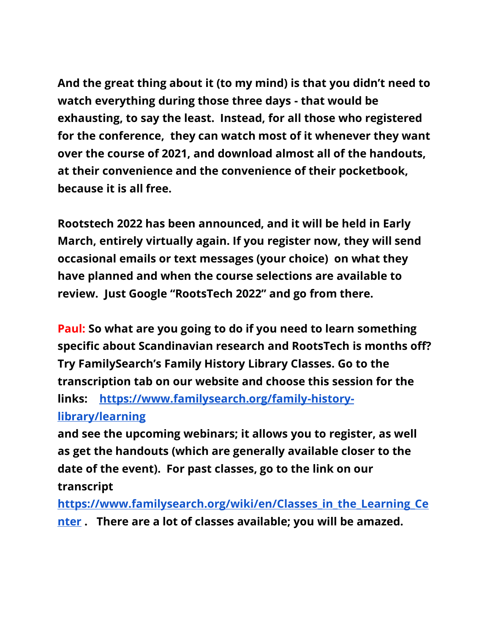**And the great thing about it (to my mind) is that you didn't need to watch everything during those three days - that would be exhausting, to say the least. Instead, for all those who registered for the conference, they can watch most of it whenever they want over the course of 2021, and download almost all of the handouts, at their convenience and the convenience of their pocketbook, because it is all free.** 

**Rootstech 2022 has been announced, and it will be held in Early March, entirely virtually again. If you register now, they will send occasional emails or text messages (your choice) on what they have planned and when the course selections are available to review. Just Google "RootsTech 2022" and go from there.** 

**Paul: So what are you going to do if you need to learn something specific about Scandinavian research and RootsTech is months off? Try FamilySearch's Family History Library Classes. Go to the transcription tab on our website and choose this session for the links: [https://www.familysearch.org/family-history](https://www.familysearch.org/family-history-library/learning)[library/learning](https://www.familysearch.org/family-history-library/learning)**

**and see the upcoming webinars; it allows you to register, as well as get the handouts (which are generally available closer to the date of the event). For past classes, go to the link on our transcript** 

**[https://www.familysearch.org/wiki/en/Classes\\_in\\_the\\_Learning\\_Ce](https://www.familysearch.org/wiki/en/Classes_in_the_Learning_Center) [nter](https://www.familysearch.org/wiki/en/Classes_in_the_Learning_Center) . There are a lot of classes available; you will be amazed.**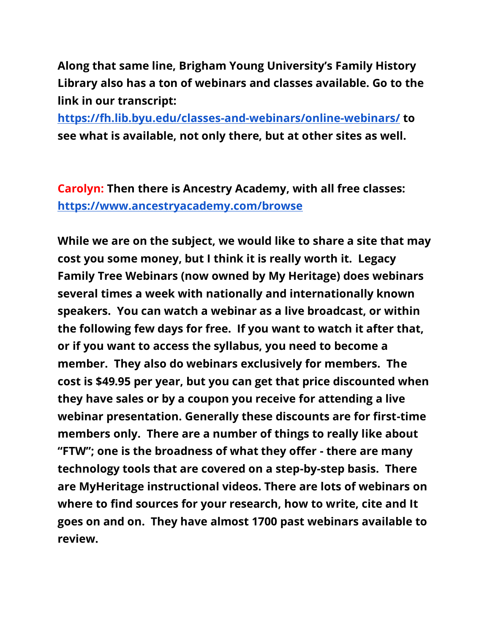**Along that same line, Brigham Young University's Family History Library also has a ton of webinars and classes available. Go to the link in our transcript:** 

**<https://fh.lib.byu.edu/classes-and-webinars/online-webinars/> to see what is available, not only there, but at other sites as well.**

**Carolyn: Then there is Ancestry Academy, with all free classes: <https://www.ancestryacademy.com/browse>**

**While we are on the subject, we would like to share a site that may cost you some money, but I think it is really worth it. Legacy Family Tree Webinars (now owned by My Heritage) does webinars several times a week with nationally and internationally known speakers. You can watch a webinar as a live broadcast, or within the following few days for free. If you want to watch it after that, or if you want to access the syllabus, you need to become a member. They also do webinars exclusively for members. The cost is \$49.95 per year, but you can get that price discounted when they have sales or by a coupon you receive for attending a live webinar presentation. Generally these discounts are for first-time members only. There are a number of things to really like about "FTW"; one is the broadness of what they offer - there are many technology tools that are covered on a step-by-step basis. There are MyHeritage instructional videos. There are lots of webinars on where to find sources for your research, how to write, cite and It goes on and on. They have almost 1700 past webinars available to review.**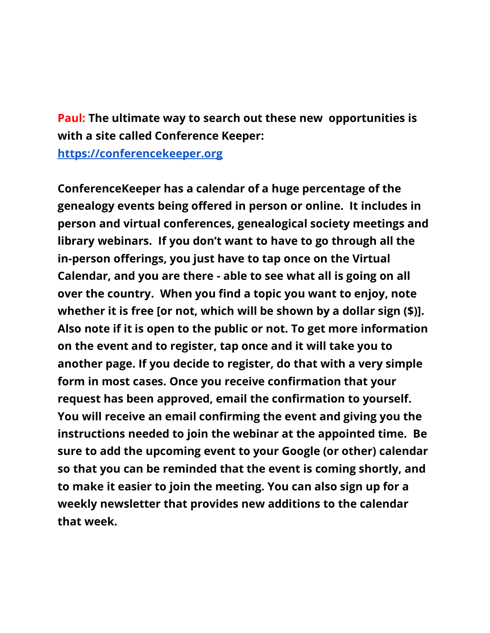**Paul: The ultimate way to search out these new opportunities is with a site called Conference Keeper:** 

**[https://conferencekeeper.org](https://conferencekeeper.org/)**

**ConferenceKeeper has a calendar of a huge percentage of the genealogy events being offered in person or online. It includes in person and virtual conferences, genealogical society meetings and library webinars. If you don't want to have to go through all the in-person offerings, you just have to tap once on the Virtual Calendar, and you are there - able to see what all is going on all over the country. When you find a topic you want to enjoy, note whether it is free [or not, which will be shown by a dollar sign (\$)]. Also note if it is open to the public or not. To get more information on the event and to register, tap once and it will take you to another page. If you decide to register, do that with a very simple form in most cases. Once you receive confirmation that your request has been approved, email the confirmation to yourself. You will receive an email confirming the event and giving you the instructions needed to join the webinar at the appointed time. Be sure to add the upcoming event to your Google (or other) calendar so that you can be reminded that the event is coming shortly, and to make it easier to join the meeting. You can also sign up for a weekly newsletter that provides new additions to the calendar that week.**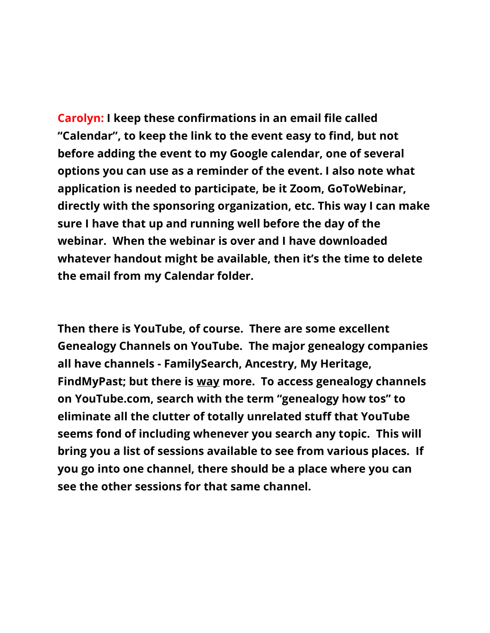**Carolyn: I keep these confirmations in an email file called "Calendar", to keep the link to the event easy to find, but not before adding the event to my Google calendar, one of several options you can use as a reminder of the event. I also note what application is needed to participate, be it Zoom, GoToWebinar, directly with the sponsoring organization, etc. This way I can make sure I have that up and running well before the day of the webinar. When the webinar is over and I have downloaded whatever handout might be available, then it's the time to delete the email from my Calendar folder.**

**Then there is YouTube, of course. There are some excellent Genealogy Channels on YouTube. The major genealogy companies all have channels - FamilySearch, Ancestry, My Heritage, FindMyPast; but there is way more. To access genealogy channels on YouTube.com, search with the term "genealogy how tos" to eliminate all the clutter of totally unrelated stuff that YouTube seems fond of including whenever you search any topic. This will bring you a list of sessions available to see from various places. If you go into one channel, there should be a place where you can see the other sessions for that same channel.**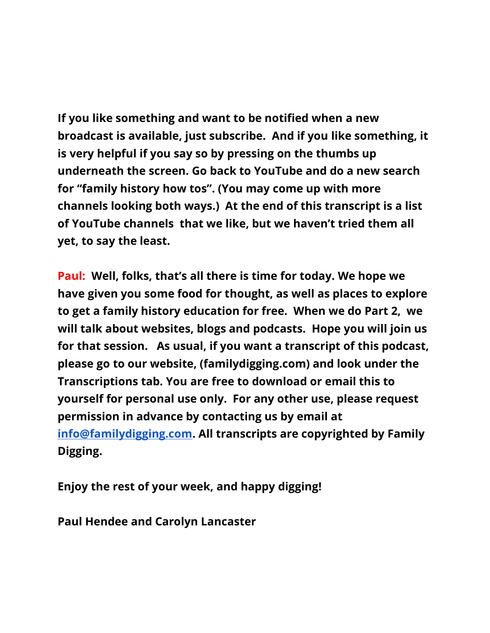**If you like something and want to be notified when a new broadcast is available, just subscribe. And if you like something, it is very helpful if you say so by pressing on the thumbs up underneath the screen. Go back to YouTube and do a new search for "family history how tos". (You may come up with more channels looking both ways.) At the end of this transcript is a list of YouTube channels that we like, but we haven't tried them all yet, to say the least.**

**Paul: Well, folks, that's all there is time for today. We hope we have given you some food for thought, as well as places to explore to get a family history education for free. When we do Part 2, we will talk about websites, blogs and podcasts. Hope you will join us for that session. As usual, if you want a transcript of this podcast, please go to our website, (familydigging.com) and look under the Transcriptions tab. You are free to download or email this to yourself for personal use only. For any other use, please request permission in advance by contacting us by email at [info@familydigging.com.](mailto:info@familydigging.com) All transcripts are copyrighted by Family Digging.**

**Enjoy the rest of your week, and happy digging!**

**Paul Hendee and Carolyn Lancaster**